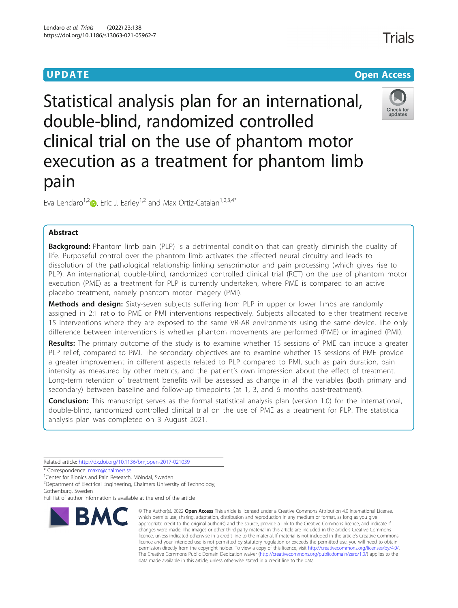# **UPDATE CONSERVATION CONSERVATION**

# Statistical analysis plan for an international, double-blind, randomized controlled clinical trial on the use of phantom motor execution as a treatment for phantom limb pain

Eva Lendaro<sup>1[,](http://orcid.org/0000-0001-9545-7633)2</sup> $\bullet$ , Eric J. Earley<sup>1,2</sup> and Max Ortiz-Catalan<sup>1,2,3,4\*</sup>

# Abstract

**Background:** Phantom limb pain (PLP) is a detrimental condition that can greatly diminish the quality of life. Purposeful control over the phantom limb activates the affected neural circuitry and leads to dissolution of the pathological relationship linking sensorimotor and pain processing (which gives rise to PLP). An international, double-blind, randomized controlled clinical trial (RCT) on the use of phantom motor execution (PME) as a treatment for PLP is currently undertaken, where PME is compared to an active placebo treatment, namely phantom motor imagery (PMI).

Methods and design: Sixty-seven subjects suffering from PLP in upper or lower limbs are randomly assigned in 2:1 ratio to PME or PMI interventions respectively. Subjects allocated to either treatment receive 15 interventions where they are exposed to the same VR-AR environments using the same device. The only difference between interventions is whether phantom movements are performed (PME) or imagined (PMI).

Results: The primary outcome of the study is to examine whether 15 sessions of PME can induce a greater PLP relief, compared to PMI. The secondary objectives are to examine whether 15 sessions of PME provide a greater improvement in different aspects related to PLP compared to PMI, such as pain duration, pain intensity as measured by other metrics, and the patient's own impression about the effect of treatment. Long-term retention of treatment benefits will be assessed as change in all the variables (both primary and secondary) between baseline and follow-up timepoints (at 1, 3, and 6 months post-treatment).

**Conclusion:** This manuscript serves as the formal statistical analysis plan (version 1.0) for the international, double-blind, randomized controlled clinical trial on the use of PME as a treatment for PLP. The statistical analysis plan was completed on 3 August 2021.

> © The Author(s), 2022 **Open Access** This article is licensed under a Creative Commons Attribution 4.0 International License, which permits use, sharing, adaptation, distribution and reproduction in any medium or format, as long as you give appropriate credit to the original author(s) and the source, provide a link to the Creative Commons licence, and indicate if changes were made. The images or other third party material in this article are included in the article's Creative Commons

Related article: <http://dx.doi.org/10.1136/bmjopen-2017-021039>

\* Correspondence: [maxo@chalmers.se](mailto:maxo@chalmers.se) <sup>1</sup>

<sup>2</sup>Department of Electrical Engineering, Chalmers University of Technology, Gothenburg, Sweden





# **BMC**

<sup>&</sup>lt;sup>1</sup>Center for Bionics and Pain Research, Mölndal, Sweden

Full list of author information is available at the end of the article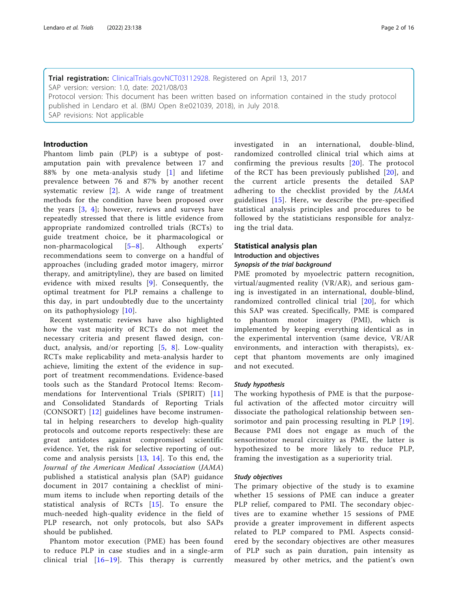Trial registration: [ClinicalTrials.gov](http://clinicaltrials.gov)[NCT03112928](https://clinicaltrials.gov/ct2/show/NCT03112928). Registered on April 13, 2017 SAP version: version: 1.0, date: 2021/08/03 Protocol version: This document has been written based on information contained in the study protocol published in Lendaro et al. (BMJ Open 8:e021039, 2018), in July 2018. SAP revisions: Not applicable

## Introduction

Phantom limb pain (PLP) is a subtype of postamputation pain with prevalence between 17 and 88% by one meta-analysis study [[1\]](#page-14-0) and lifetime prevalence between 76 and 87% by another recent systematic review [\[2](#page-14-0)]. A wide range of treatment methods for the condition have been proposed over the years [[3,](#page-14-0) [4](#page-14-0)]; however, reviews and surveys have repeatedly stressed that there is little evidence from appropriate randomized controlled trials (RCTs) to guide treatment choice, be it pharmacological or non-pharmacological [\[5](#page-14-0)–[8\]](#page-14-0). Although experts' recommendations seem to converge on a handful of approaches (including graded motor imagery, mirror therapy, and amitriptyline), they are based on limited evidence with mixed results  $[9]$  $[9]$ . Consequently, the optimal treatment for PLP remains a challenge to this day, in part undoubtedly due to the uncertainty on its pathophysiology [[10](#page-14-0)].

Recent systematic reviews have also highlighted how the vast majority of RCTs do not meet the necessary criteria and present flawed design, conduct, analysis, and/or reporting  $[5, 8]$  $[5, 8]$  $[5, 8]$  $[5, 8]$ . Low-quality RCTs make replicability and meta-analysis harder to achieve, limiting the extent of the evidence in support of treatment recommendations. Evidence-based tools such as the Standard Protocol Items: Recommendations for Interventional Trials (SPIRIT) [[11](#page-14-0)] and Consolidated Standards of Reporting Trials (CONSORT) [[12](#page-14-0)] guidelines have become instrumental in helping researchers to develop high-quality protocols and outcome reports respectively: these are great antidotes against compromised scientific evidence. Yet, the risk for selective reporting of outcome and analysis persists [[13](#page-14-0), [14](#page-14-0)]. To this end, the Journal of the American Medical Association (JAMA) published a statistical analysis plan (SAP) guidance document in 2017 containing a checklist of minimum items to include when reporting details of the statistical analysis of RCTs [[15](#page-14-0)]. To ensure the much-needed high-quality evidence in the field of PLP research, not only protocols, but also SAPs should be published.

Phantom motor execution (PME) has been found to reduce PLP in case studies and in a single-arm clinical trial  $[16–19]$  $[16–19]$  $[16–19]$  $[16–19]$ . This therapy is currently investigated in an international, double-blind, randomized controlled clinical trial which aims at confirming the previous results [[20\]](#page-15-0). The protocol of the RCT has been previously published [\[20\]](#page-15-0), and the current article presents the detailed SAP adhering to the checklist provided by the JAMA guidelines  $[15]$  $[15]$  $[15]$ . Here, we describe the pre-specified statistical analysis principles and procedures to be followed by the statisticians responsible for analyzing the trial data.

### Statistical analysis plan

# Introduction and objectives

# Synopsis of the trial background

PME promoted by myoelectric pattern recognition, virtual/augmented reality (VR/AR), and serious gaming is investigated in an international, double-blind, randomized controlled clinical trial [\[20\]](#page-15-0), for which this SAP was created. Specifically, PME is compared to phantom motor imagery (PMI), which is implemented by keeping everything identical as in the experimental intervention (same device, VR/AR environments, and interaction with therapists), except that phantom movements are only imagined and not executed.

#### Study hypothesis

The working hypothesis of PME is that the purposeful activation of the affected motor circuitry will dissociate the pathological relationship between sen-sorimotor and pain processing resulting in PLP [[19](#page-15-0)]. Because PMI does not engage as much of the sensorimotor neural circuitry as PME, the latter is hypothesized to be more likely to reduce PLP, framing the investigation as a superiority trial.

#### Study objectives

The primary objective of the study is to examine whether 15 sessions of PME can induce a greater PLP relief, compared to PMI. The secondary objectives are to examine whether 15 sessions of PME provide a greater improvement in different aspects related to PLP compared to PMI. Aspects considered by the secondary objectives are other measures of PLP such as pain duration, pain intensity as measured by other metrics, and the patient's own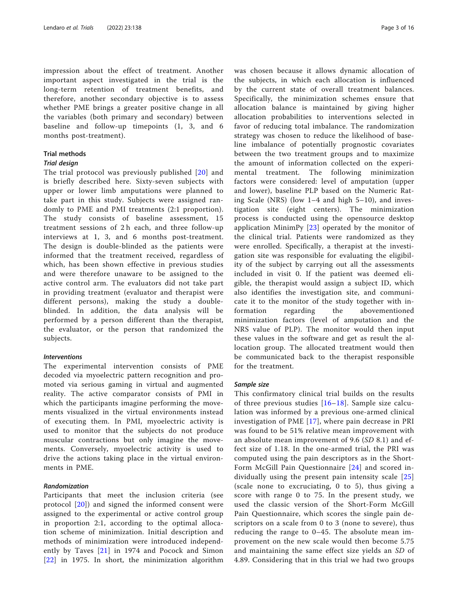impression about the effect of treatment. Another important aspect investigated in the trial is the long-term retention of treatment benefits, and therefore, another secondary objective is to assess whether PME brings a greater positive change in all the variables (both primary and secondary) between baseline and follow-up timepoints (1, 3, and 6 months post-treatment).

# Trial methods

#### Trial design

The trial protocol was previously published [[20](#page-15-0)] and is briefly described here. Sixty-seven subjects with upper or lower limb amputations were planned to take part in this study. Subjects were assigned randomly to PME and PMI treatments (2:1 proportion). The study consists of baseline assessment, 15 treatment sessions of 2 h each, and three follow-up interviews at 1, 3, and 6 months post-treatment. The design is double-blinded as the patients were informed that the treatment received, regardless of which, has been shown effective in previous studies and were therefore unaware to be assigned to the active control arm. The evaluators did not take part in providing treatment (evaluator and therapist were different persons), making the study a doubleblinded. In addition, the data analysis will be performed by a person different than the therapist, the evaluator, or the person that randomized the subjects.

#### Interventions

The experimental intervention consists of PME decoded via myoelectric pattern recognition and promoted via serious gaming in virtual and augmented reality. The active comparator consists of PMI in which the participants imagine performing the movements visualized in the virtual environments instead of executing them. In PMI, myoelectric activity is used to monitor that the subjects do not produce muscular contractions but only imagine the movements. Conversely, myoelectric activity is used to drive the actions taking place in the virtual environments in PME.

## Randomization

Participants that meet the inclusion criteria (see protocol [[20](#page-15-0)]) and signed the informed consent were assigned to the experimental or active control group in proportion 2:1, according to the optimal allocation scheme of minimization. Initial description and methods of minimization were introduced independently by Taves [[21](#page-15-0)] in 1974 and Pocock and Simon [[22](#page-15-0)] in 1975. In short, the minimization algorithm was chosen because it allows dynamic allocation of the subjects, in which each allocation is influenced by the current state of overall treatment balances. Specifically, the minimization schemes ensure that allocation balance is maintained by giving higher allocation probabilities to interventions selected in favor of reducing total imbalance. The randomization strategy was chosen to reduce the likelihood of baseline imbalance of potentially prognostic covariates between the two treatment groups and to maximize the amount of information collected on the experimental treatment. The following minimization factors were considered: level of amputation (upper and lower), baseline PLP based on the Numeric Rating Scale (NRS) (low 1–4 and high 5–10), and investigation site (eight centers). The minimization process is conducted using the opensource desktop application MinimPy [[23](#page-15-0)] operated by the monitor of the clinical trial. Patients were randomized as they were enrolled. Specifically, a therapist at the investigation site was responsible for evaluating the eligibility of the subject by carrying out all the assessments included in visit 0. If the patient was deemed eligible, the therapist would assign a subject ID, which also identifies the investigation site, and communicate it to the monitor of the study together with information regarding the abovementioned minimization factors (level of amputation and the NRS value of PLP). The monitor would then input these values in the software and get as result the allocation group. The allocated treatment would then be communicated back to the therapist responsible for the treatment.

#### Sample size

This confirmatory clinical trial builds on the results of three previous studies  $[16–18]$  $[16–18]$  $[16–18]$  $[16–18]$ . Sample size calculation was informed by a previous one-armed clinical investigation of PME [[17](#page-15-0)], where pain decrease in PRI was found to be 51% relative mean improvement with an absolute mean improvement of 9.6 (SD 8.1) and effect size of 1.18. In the one-armed trial, the PRI was computed using the pain descriptors as in the Short-Form McGill Pain Questionnaire [[24](#page-15-0)] and scored individually using the present pain intensity scale [[25](#page-15-0)] (scale none to excruciating, 0 to 5), thus giving a score with range 0 to 75. In the present study, we used the classic version of the Short-Form McGill Pain Questionnaire, which scores the single pain descriptors on a scale from 0 to 3 (none to severe), thus reducing the range to 0–45. The absolute mean improvement on the new scale would then become 5.75 and maintaining the same effect size yields an SD of 4.89. Considering that in this trial we had two groups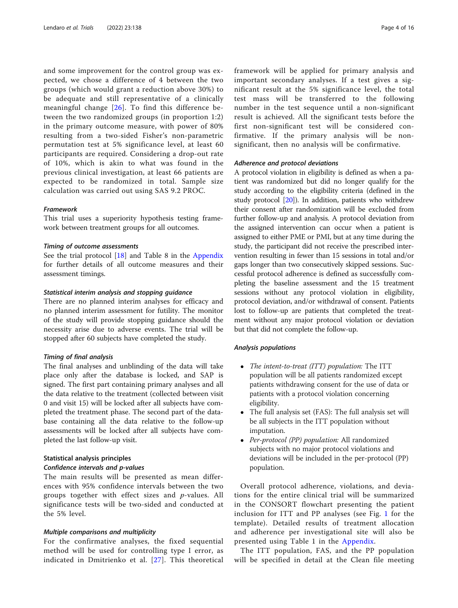and some improvement for the control group was expected, we chose a difference of 4 between the two groups (which would grant a reduction above 30%) to be adequate and still representative of a clinically meaningful change [\[26\]](#page-15-0). To find this difference between the two randomized groups (in proportion 1:2) in the primary outcome measure, with power of 80% resulting from a two-sided Fisher's non-parametric permutation test at 5% significance level, at least 60 participants are required. Considering a drop-out rate of 10%, which is akin to what was found in the previous clinical investigation, at least 66 patients are expected to be randomized in total. Sample size calculation was carried out using SAS 9.2 PROC.

## Framework

This trial uses a superiority hypothesis testing framework between treatment groups for all outcomes.

#### Timing of outcome assessments

See the trial protocol [[18\]](#page-15-0) and Table 8 in the [Appendix](#page-8-0) for further details of all outcome measures and their assessment timings.

#### Statistical interim analysis and stopping guidance

There are no planned interim analyses for efficacy and no planned interim assessment for futility. The monitor of the study will provide stopping guidance should the necessity arise due to adverse events. The trial will be stopped after 60 subjects have completed the study.

#### Timing of final analysis

The final analyses and unblinding of the data will take place only after the database is locked, and SAP is signed. The first part containing primary analyses and all the data relative to the treatment (collected between visit 0 and visit 15) will be locked after all subjects have completed the treatment phase. The second part of the database containing all the data relative to the follow-up assessments will be locked after all subjects have completed the last follow-up visit.

## Statistical analysis principles Confidence intervals and p-values

The main results will be presented as mean differences with 95% confidence intervals between the two groups together with effect sizes and  $p$ -values. All significance tests will be two-sided and conducted at the 5% level.

## Multiple comparisons and multiplicity

For the confirmative analyses, the fixed sequential method will be used for controlling type I error, as indicated in Dmitrienko et al. [[27](#page-15-0)]. This theoretical framework will be applied for primary analysis and important secondary analyses. If a test gives a significant result at the 5% significance level, the total test mass will be transferred to the following number in the test sequence until a non-significant result is achieved. All the significant tests before the first non-significant test will be considered confirmative. If the primary analysis will be nonsignificant, then no analysis will be confirmative.

#### Adherence and protocol deviations

A protocol violation in eligibility is defined as when a patient was randomized but did no longer qualify for the study according to the eligibility criteria (defined in the study protocol [\[20\]](#page-15-0)). In addition, patients who withdrew their consent after randomization will be excluded from further follow-up and analysis. A protocol deviation from the assigned intervention can occur when a patient is assigned to either PME or PMI, but at any time during the study, the participant did not receive the prescribed intervention resulting in fewer than 15 sessions in total and/or gaps longer than two consecutively skipped sessions. Successful protocol adherence is defined as successfully completing the baseline assessment and the 15 treatment sessions without any protocol violation in eligibility, protocol deviation, and/or withdrawal of consent. Patients lost to follow-up are patients that completed the treatment without any major protocol violation or deviation but that did not complete the follow-up.

#### Analysis populations

- The intent-to-treat (ITT) population: The ITT population will be all patients randomized except patients withdrawing consent for the use of data or patients with a protocol violation concerning eligibility.
- The full analysis set (FAS): The full analysis set will be all subjects in the ITT population without imputation.
- Per-protocol (PP) population: All randomized subjects with no major protocol violations and deviations will be included in the per-protocol (PP) population.

Overall protocol adherence, violations, and deviations for the entire clinical trial will be summarized in the CONSORT flowchart presenting the patient inclusion for ITT and PP analyses (see Fig. [1](#page-4-0) for the template). Detailed results of treatment allocation and adherence per investigational site will also be presented using Table 1 in the [Appendix](#page-8-0).

The ITT population, FAS, and the PP population will be specified in detail at the Clean file meeting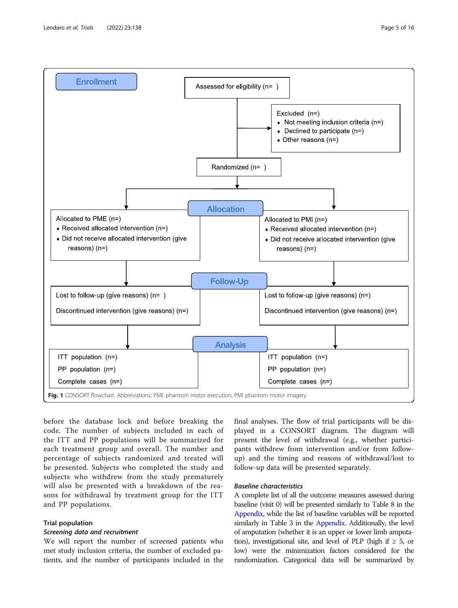<span id="page-4-0"></span>

before the database lock and before breaking the code. The number of subjects included in each of the ITT and PP populations will be summarized for each treatment group and overall. The number and percentage of subjects randomized and treated will be presented. Subjects who completed the study and subjects who withdrew from the study prematurely will also be presented with a breakdown of the reasons for withdrawal by treatment group for the ITT and PP populations.

# Trial population

#### Screening data and recruitment

We will report the number of screened patients who met study inclusion criteria, the number of excluded patients, and the number of participants included in the

final analyses. The flow of trial participants will be displayed in a CONSORT diagram. The diagram will present the level of withdrawal (e.g., whether participants withdrew from intervention and/or from followup) and the timing and reasons of withdrawal/lost to follow-up data will be presented separately.

## Baseline characteristics

A complete list of all the outcome measures assessed during baseline (visit 0) will be presented similarly to Table 8 in the [Appendix](#page-8-0), while the list of baseline variables will be reported similarly in Table 3 in the [Appendix](#page-8-0). Additionally, the level of amputation (whether it is an upper or lower limb amputation), investigational site, and level of PLP (high if  $\geq 5$ , or low) were the minimization factors considered for the randomization. Categorical data will be summarized by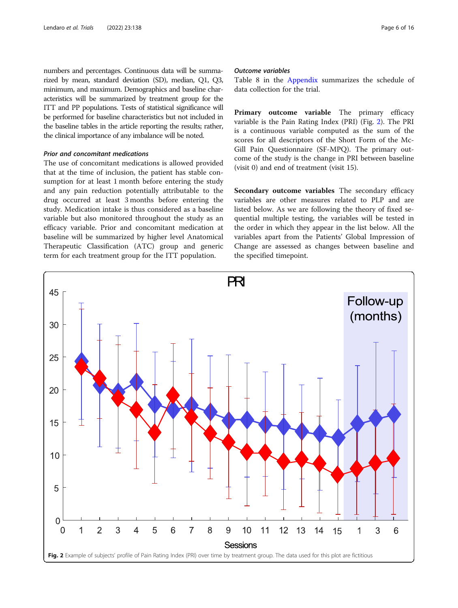numbers and percentages. Continuous data will be summarized by mean, standard deviation (SD), median, Q1, Q3, minimum, and maximum. Demographics and baseline characteristics will be summarized by treatment group for the ITT and PP populations. Tests of statistical significance will be performed for baseline characteristics but not included in the baseline tables in the article reporting the results; rather, the clinical importance of any imbalance will be noted.

## Prior and concomitant medications

The use of concomitant medications is allowed provided that at the time of inclusion, the patient has stable consumption for at least 1 month before entering the study and any pain reduction potentially attributable to the drug occurred at least 3 months before entering the study. Medication intake is thus considered as a baseline variable but also monitored throughout the study as an efficacy variable. Prior and concomitant medication at baseline will be summarized by higher level Anatomical Therapeutic Classification (ATC) group and generic term for each treatment group for the ITT population.

#### Outcome variables

Table 8 in the [Appendix](#page-8-0) summarizes the schedule of data collection for the trial.

Primary outcome variable The primary efficacy variable is the Pain Rating Index (PRI) (Fig. 2). The PRI is a continuous variable computed as the sum of the scores for all descriptors of the Short Form of the Mc-Gill Pain Questionnaire (SF-MPQ). The primary outcome of the study is the change in PRI between baseline (visit 0) and end of treatment (visit 15).

Secondary outcome variables The secondary efficacy variables are other measures related to PLP and are listed below. As we are following the theory of fixed sequential multiple testing, the variables will be tested in the order in which they appear in the list below. All the variables apart from the Patients' Global Impression of Change are assessed as changes between baseline and the specified timepoint.

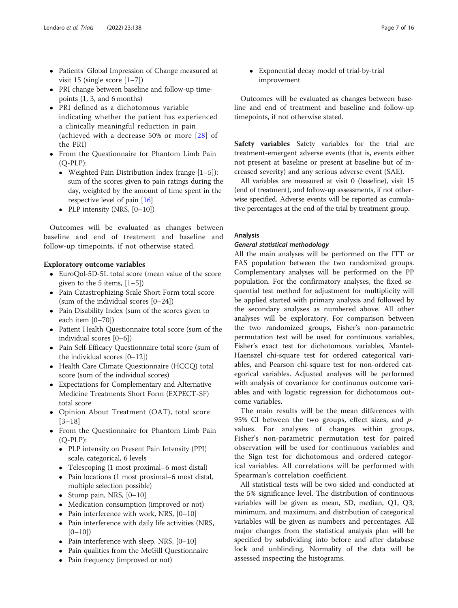- Patients' Global Impression of Change measured at visit 15 (single score [1–7])
- PRI change between baseline and follow-up timepoints (1, 3, and 6 months)
- PRI defined as a dichotomous variable indicating whether the patient has experienced a clinically meaningful reduction in pain (achieved with a decrease 50% or more [[28](#page-15-0)] of the PRI)
- From the Questionnaire for Phantom Limb Pain (Q-PLP):
	- Weighted Pain Distribution Index (range [1–5]): sum of the scores given to pain ratings during the day, weighted by the amount of time spent in the respective level of pain [\[16](#page-15-0)]
	- PLP intensity (NRS,  $[0-10]$ )

Outcomes will be evaluated as changes between baseline and end of treatment and baseline and follow-up timepoints, if not otherwise stated.

## Exploratory outcome variables

- EuroQol-5D-5L total score (mean value of the score given to the 5 items,  $[1-5]$
- Pain Catastrophizing Scale Short Form total score (sum of the individual scores [0–24])
- Pain Disability Index (sum of the scores given to each item [0–70])
- Patient Health Questionnaire total score (sum of the individual scores [0–6])
- Pain Self-Efficacy Questionnaire total score (sum of the individual scores [0–12])
- Health Care Climate Questionnaire (HCCQ) total score (sum of the individual scores)
- Expectations for Complementary and Alternative Medicine Treatments Short Form (EXPECT-SF) total score
- Opinion About Treatment (OAT), total score [3–18]
- From the Questionnaire for Phantom Limb Pain (Q-PLP):
	- PLP intensity on Present Pain Intensity (PPI) scale, categorical, 6 levels
	- Telescoping (1 most proximal–6 most distal)
	- Pain locations (1 most proximal–6 most distal, multiple selection possible)
	- Stump pain, NRS,  $[0-10]$
	- Medication consumption (improved or not)
	- Pain interference with work, NRS, [0–10]
	- Pain interference with daily life activities (NRS,  $[0-10]$
	- Pain interference with sleep, NRS,  $[0-10]$
	- Pain qualities from the McGill Questionnaire
	- Pain frequency (improved or not)

 Exponential decay model of trial-by-trial improvement

Outcomes will be evaluated as changes between baseline and end of treatment and baseline and follow-up timepoints, if not otherwise stated.

Safety variables Safety variables for the trial are treatment-emergent adverse events (that is, events either not present at baseline or present at baseline but of increased severity) and any serious adverse event (SAE).

All variables are measured at visit 0 (baseline), visit 15 (end of treatment), and follow-up assessments, if not otherwise specified. Adverse events will be reported as cumulative percentages at the end of the trial by treatment group.

## Analysis

## General statistical methodology

All the main analyses will be performed on the ITT or FAS population between the two randomized groups. Complementary analyses will be performed on the PP population. For the confirmatory analyses, the fixed sequential test method for adjustment for multiplicity will be applied started with primary analysis and followed by the secondary analyses as numbered above. All other analyses will be exploratory. For comparison between the two randomized groups, Fisher's non-parametric permutation test will be used for continuous variables, Fisher's exact test for dichotomous variables, Mantel-Haenszel chi-square test for ordered categorical variables, and Pearson chi-square test for non-ordered categorical variables. Adjusted analyses will be performed with analysis of covariance for continuous outcome variables and with logistic regression for dichotomous outcome variables.

The main results will be the mean differences with 95% CI between the two groups, effect sizes, and  $p$ values. For analyses of changes within groups, Fisher's non-parametric permutation test for paired observation will be used for continuous variables and the Sign test for dichotomous and ordered categorical variables. All correlations will be performed with Spearman's correlation coefficient.

All statistical tests will be two sided and conducted at the 5% significance level. The distribution of continuous variables will be given as mean, SD, median, Q1, Q3, minimum, and maximum, and distribution of categorical variables will be given as numbers and percentages. All major changes from the statistical analysis plan will be specified by subdividing into before and after database lock and unblinding. Normality of the data will be assessed inspecting the histograms.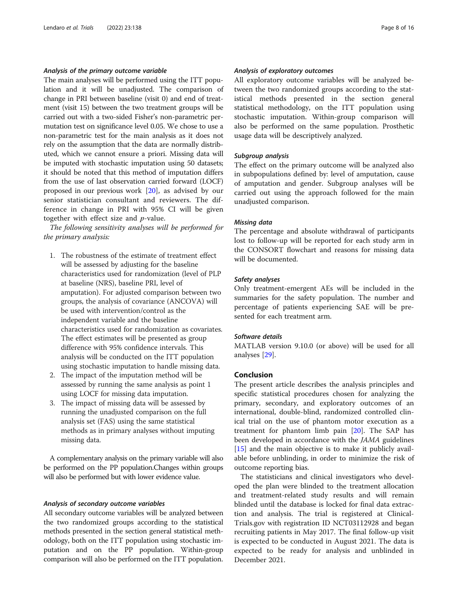# Analysis of the primary outcome variable

The main analyses will be performed using the ITT population and it will be unadjusted. The comparison of change in PRI between baseline (visit 0) and end of treatment (visit 15) between the two treatment groups will be carried out with a two-sided Fisher's non-parametric permutation test on significance level 0.05. We chose to use a non-parametric test for the main analysis as it does not rely on the assumption that the data are normally distributed, which we cannot ensure a priori. Missing data will be imputed with stochastic imputation using 50 datasets; it should be noted that this method of imputation differs from the use of last observation carried forward (LOCF) proposed in our previous work [[20\]](#page-15-0), as advised by our senior statistician consultant and reviewers. The difference in change in PRI with 95% CI will be given together with effect size and p-value.

The following sensitivity analyses will be performed for the primary analysis:

- 1. The robustness of the estimate of treatment effect will be assessed by adjusting for the baseline characteristics used for randomization (level of PLP at baseline (NRS), baseline PRI, level of amputation). For adjusted comparison between two groups, the analysis of covariance (ANCOVA) will be used with intervention/control as the independent variable and the baseline characteristics used for randomization as covariates. The effect estimates will be presented as group difference with 95% confidence intervals. This analysis will be conducted on the ITT population using stochastic imputation to handle missing data.
- 2. The impact of the imputation method will be assessed by running the same analysis as point 1 using LOCF for missing data imputation.
- 3. The impact of missing data will be assessed by running the unadjusted comparison on the full analysis set (FAS) using the same statistical methods as in primary analyses without imputing missing data.

A complementary analysis on the primary variable will also be performed on the PP population.Changes within groups will also be performed but with lower evidence value.

#### Analysis of secondary outcome variables

All secondary outcome variables will be analyzed between the two randomized groups according to the statistical methods presented in the section general statistical methodology, both on the ITT population using stochastic imputation and on the PP population. Within-group comparison will also be performed on the ITT population.

## Analysis of exploratory outcomes

All exploratory outcome variables will be analyzed between the two randomized groups according to the statistical methods presented in the section general statistical methodology, on the ITT population using stochastic imputation. Within-group comparison will also be performed on the same population. Prosthetic usage data will be descriptively analyzed.

#### Subgroup analysis

The effect on the primary outcome will be analyzed also in subpopulations defined by: level of amputation, cause of amputation and gender. Subgroup analyses will be carried out using the approach followed for the main unadjusted comparison.

#### Missing data

The percentage and absolute withdrawal of participants lost to follow-up will be reported for each study arm in the CONSORT flowchart and reasons for missing data will be documented.

#### Safety analyses

Only treatment-emergent AEs will be included in the summaries for the safety population. The number and percentage of patients experiencing SAE will be presented for each treatment arm.

#### Software details

MATLAB version 9.10.0 (or above) will be used for all analyses [[29\]](#page-15-0).

#### Conclusion

The present article describes the analysis principles and specific statistical procedures chosen for analyzing the primary, secondary, and exploratory outcomes of an international, double-blind, randomized controlled clinical trial on the use of phantom motor execution as a treatment for phantom limb pain [[20\]](#page-15-0). The SAP has been developed in accordance with the JAMA guidelines [[15\]](#page-14-0) and the main objective is to make it publicly available before unblinding, in order to minimize the risk of outcome reporting bias.

The statisticians and clinical investigators who developed the plan were blinded to the treatment allocation and treatment-related study results and will remain blinded until the database is locked for final data extraction and analysis. The trial is registered at Clinical-Trials.gov with registration ID NCT03112928 and began recruiting patients in May 2017. The final follow-up visit is expected to be conducted in August 2021. The data is expected to be ready for analysis and unblinded in December 2021.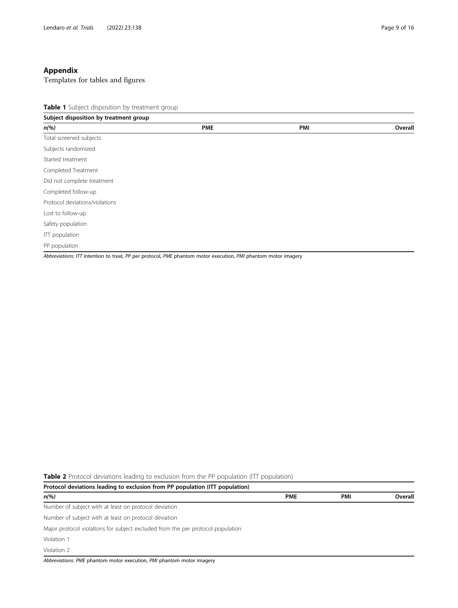# <span id="page-8-0"></span>Appendix

Templates for tables and figures

Table 1 Subject disposition by treatment group

| Subject disposition by treatment group                                                                         |            |     |         |
|----------------------------------------------------------------------------------------------------------------|------------|-----|---------|
| $n\frac{9}{6}$                                                                                                 | <b>PME</b> | PMI | Overall |
| Total screened subjects                                                                                        |            |     |         |
| Subjects randomized                                                                                            |            |     |         |
| Started treatment                                                                                              |            |     |         |
| Completed Treatment                                                                                            |            |     |         |
| Did not complete treatment                                                                                     |            |     |         |
| Completed follow-up                                                                                            |            |     |         |
| Protocol deviations/violations                                                                                 |            |     |         |
| Lost to follow-up                                                                                              |            |     |         |
| Safety population                                                                                              |            |     |         |
| <b>ITT</b> population                                                                                          |            |     |         |
| PP population                                                                                                  |            |     |         |
| Abbreviations: ITT intention to treat, PP per protocol, PME phantom motor execution, PMI phantom motor imagery |            |     |         |

Table 2 Protocol deviations leading to exclusion from the PP population (ITT population)

| Protocol deviations leading to exclusion from PP population (ITT population)    |            |     |         |  |  |
|---------------------------------------------------------------------------------|------------|-----|---------|--|--|
| $n\frac{9}{6}$                                                                  | <b>PME</b> | PMI | Overall |  |  |
| Number of subject with at least on protocol deviation                           |            |     |         |  |  |
| Number of subject with at least on protocol deviation                           |            |     |         |  |  |
| Major protocol violations for subject excluded from the per protocol population |            |     |         |  |  |
| Violation 1                                                                     |            |     |         |  |  |
| Violation 2                                                                     |            |     |         |  |  |
| Abbreviations: PME phantom motor execution, PMI phantom motor imagery           |            |     |         |  |  |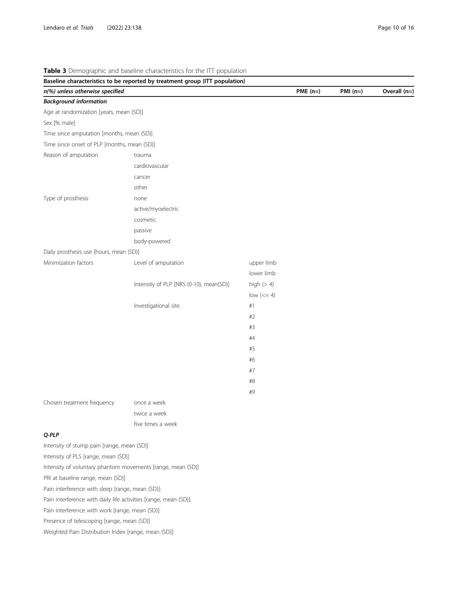|                                                                  | Baseline characteristics to be reported by treatment group (ITT population) |                        |            |           |              |
|------------------------------------------------------------------|-----------------------------------------------------------------------------|------------------------|------------|-----------|--------------|
| n(%) unless otherwise specified                                  |                                                                             |                        | $PME$ (n=) | $PMI(n=)$ | Overall (n=) |
| <b>Background information</b>                                    |                                                                             |                        |            |           |              |
| Age at randomization [years, mean (SD)]                          |                                                                             |                        |            |           |              |
| Sex [% male]                                                     |                                                                             |                        |            |           |              |
| Time since amputation [months, mean (SD)]                        |                                                                             |                        |            |           |              |
| Time since onset of PLP [months, mean (SD)]                      |                                                                             |                        |            |           |              |
| Reason of amputation                                             | trauma                                                                      |                        |            |           |              |
|                                                                  | cardiovascular                                                              |                        |            |           |              |
|                                                                  | cancer                                                                      |                        |            |           |              |
|                                                                  | other                                                                       |                        |            |           |              |
| Type of prosthesis                                               | none                                                                        |                        |            |           |              |
|                                                                  | active/myoelectric                                                          |                        |            |           |              |
|                                                                  | cosmetic                                                                    |                        |            |           |              |
|                                                                  | passive                                                                     |                        |            |           |              |
|                                                                  | body-powered                                                                |                        |            |           |              |
| Daily prosthesis use [hours, mean (SD)]                          |                                                                             |                        |            |           |              |
| Minimization factors                                             | Level of amputation                                                         | upper limb             |            |           |              |
|                                                                  |                                                                             | lower limb             |            |           |              |
|                                                                  | Intensity of PLP [NRS (0-10), mean(SD)]                                     | high $(> 4)$           |            |           |              |
|                                                                  |                                                                             | low $\left(<=4\right)$ |            |           |              |
|                                                                  | Investigational site                                                        | #1                     |            |           |              |
|                                                                  |                                                                             | #2                     |            |           |              |
|                                                                  |                                                                             | #3                     |            |           |              |
|                                                                  |                                                                             | #4                     |            |           |              |
|                                                                  |                                                                             | #5                     |            |           |              |
|                                                                  |                                                                             | #6                     |            |           |              |
|                                                                  |                                                                             | #7                     |            |           |              |
|                                                                  |                                                                             | #8                     |            |           |              |
|                                                                  |                                                                             | #9                     |            |           |              |
| Chosen treatment frequency                                       | once a week                                                                 |                        |            |           |              |
|                                                                  | twice a week                                                                |                        |            |           |              |
|                                                                  | five times a week                                                           |                        |            |           |              |
| Q-PLP                                                            |                                                                             |                        |            |           |              |
| Intensity of stump pain [range, mean (SD)]                       |                                                                             |                        |            |           |              |
| Intensity of PLS [range, mean (SD)]                              |                                                                             |                        |            |           |              |
| Intensity of voluntary phantom movements [range, mean (SD)]      |                                                                             |                        |            |           |              |
| PRI at baseline range, mean (SD)]                                |                                                                             |                        |            |           |              |
| Pain interference with sleep [range, mean (SD)]:                 |                                                                             |                        |            |           |              |
| Pain interference with daily life activities [range, mean (SD)]: |                                                                             |                        |            |           |              |
| Pain interference with work [range, mean (SD)]:                  |                                                                             |                        |            |           |              |
| Presence of telescoping [range, mean (SD)]                       |                                                                             |                        |            |           |              |
|                                                                  |                                                                             |                        |            |           |              |

# Table 3 Demographic and baseline characteristics for the ITT population

Weighted Pain Distribution Index [range, mean (SD)]: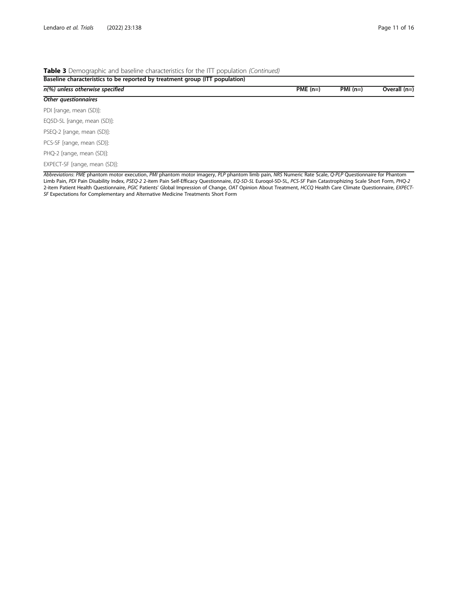# Table 3 Demographic and baseline characteristics for the ITT population (Continued)

| Baseline characteristics to be reported by treatment group (ITT population) |           |           |                |  |  |  |
|-----------------------------------------------------------------------------|-----------|-----------|----------------|--|--|--|
| n(%) unless otherwise specified                                             | $PME(n=)$ | $PMI(n=)$ | Overall $(n=)$ |  |  |  |
| Other questionnaires                                                        |           |           |                |  |  |  |
| PDI [range, mean (SD)]:                                                     |           |           |                |  |  |  |
| EQ5D-5L [range, mean (SD)]:                                                 |           |           |                |  |  |  |
| PSEQ-2 [range, mean (SD)]:                                                  |           |           |                |  |  |  |
| PCS-SF [range, mean (SD)]:                                                  |           |           |                |  |  |  |
| PHQ-2 [range, mean (SD)]:                                                   |           |           |                |  |  |  |
| EXPECT-SF [range, mean (SD)]:                                               |           |           |                |  |  |  |

Abbreviations: PME phantom motor execution, PMI phantom motor imagery, PLP phantom limb pain, NRS Numeric Rate Scale, Q-PLP Questionnaire for Phantom Limb Pain, PDI Pain Disability Index, PSEQ-2 2-item Pain Self-Efficacy Questionnaire, EQ-5D-5L Euroqol-5D-5L, PCS-SF Pain Catastrophizing Scale Short Form, PHQ-2 2-item Patient Health Questionnaire, PGIC Patients' Global Impression of Change, OAT Opinion About Treatment, HCCQ Health Care Climate Questionnaire, EXPECT-SF Expectations for Complementary and Alternative Medicine Treatments Short Form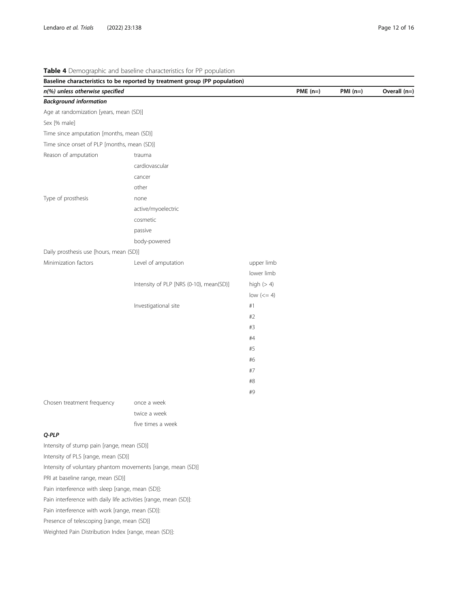|                                                                  | Baseline characteristics to be reported by treatment group (PP population) |                        |           |           |              |
|------------------------------------------------------------------|----------------------------------------------------------------------------|------------------------|-----------|-----------|--------------|
| n(%) unless otherwise specified                                  |                                                                            |                        | $PME(n=)$ | $PMI(n=)$ | Overall (n=) |
| <b>Background information</b>                                    |                                                                            |                        |           |           |              |
| Age at randomization [years, mean (SD)]                          |                                                                            |                        |           |           |              |
| Sex [% male]                                                     |                                                                            |                        |           |           |              |
| Time since amputation [months, mean (SD)]                        |                                                                            |                        |           |           |              |
| Time since onset of PLP [months, mean (SD)]                      |                                                                            |                        |           |           |              |
| Reason of amputation                                             | trauma                                                                     |                        |           |           |              |
|                                                                  | cardiovascular                                                             |                        |           |           |              |
|                                                                  | cancer                                                                     |                        |           |           |              |
|                                                                  | other                                                                      |                        |           |           |              |
| Type of prosthesis                                               | none                                                                       |                        |           |           |              |
|                                                                  | active/myoelectric                                                         |                        |           |           |              |
|                                                                  | cosmetic                                                                   |                        |           |           |              |
|                                                                  | passive                                                                    |                        |           |           |              |
|                                                                  | body-powered                                                               |                        |           |           |              |
| Daily prosthesis use [hours, mean (SD)]                          |                                                                            |                        |           |           |              |
| Minimization factors                                             | Level of amputation                                                        | upper limb             |           |           |              |
|                                                                  |                                                                            | lower limb             |           |           |              |
|                                                                  | Intensity of PLP [NRS (0-10), mean(SD)]                                    | high $(> 4)$           |           |           |              |
|                                                                  |                                                                            | low $\left(<=4\right)$ |           |           |              |
|                                                                  | Investigational site                                                       | #1                     |           |           |              |
|                                                                  |                                                                            | #2                     |           |           |              |
|                                                                  |                                                                            | #3                     |           |           |              |
|                                                                  |                                                                            | #4                     |           |           |              |
|                                                                  |                                                                            | #5                     |           |           |              |
|                                                                  |                                                                            | #6                     |           |           |              |
|                                                                  |                                                                            | #7                     |           |           |              |
|                                                                  |                                                                            | #8                     |           |           |              |
|                                                                  |                                                                            | #9                     |           |           |              |
| Chosen treatment frequency                                       | once a week                                                                |                        |           |           |              |
|                                                                  | twice a week                                                               |                        |           |           |              |
|                                                                  | five times a week                                                          |                        |           |           |              |
| Q-PLP                                                            |                                                                            |                        |           |           |              |
| Intensity of stump pain [range, mean (SD)]                       |                                                                            |                        |           |           |              |
| Intensity of PLS [range, mean (SD)]                              |                                                                            |                        |           |           |              |
| Intensity of voluntary phantom movements [range, mean (SD)]      |                                                                            |                        |           |           |              |
| PRI at baseline range, mean (SD)]                                |                                                                            |                        |           |           |              |
| Pain interference with sleep [range, mean (SD)]:                 |                                                                            |                        |           |           |              |
| Pain interference with daily life activities [range, mean (SD)]: |                                                                            |                        |           |           |              |
| Pain interference with work [range, mean (SD)]:                  |                                                                            |                        |           |           |              |
| Presence of telescoping [range, mean (SD)]                       |                                                                            |                        |           |           |              |

Table 4 Demographic and baseline characteristics for PP population

Weighted Pain Distribution Index [range, mean (SD)]: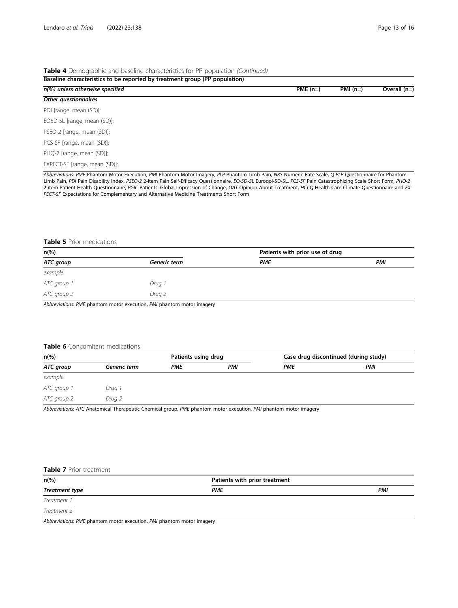#### Table 4 Demographic and baseline characteristics for PP population (Continued)

| Baseline characteristics to be reported by treatment group (PP population) |           |           |                |  |  |  |
|----------------------------------------------------------------------------|-----------|-----------|----------------|--|--|--|
| n(%) unless otherwise specified                                            | $PME(n=)$ | $PMI(n=)$ | Overall $(n=)$ |  |  |  |
| Other questionnaires                                                       |           |           |                |  |  |  |
| PDI [range, mean (SD)]:                                                    |           |           |                |  |  |  |
| EQ5D-5L [range, mean (SD)]:                                                |           |           |                |  |  |  |
| PSEQ-2 [range, mean (SD)]:                                                 |           |           |                |  |  |  |
| PCS-SF [range, mean (SD)]:                                                 |           |           |                |  |  |  |
| PHQ-2 [range, mean (SD)]:                                                  |           |           |                |  |  |  |
| EXPECT-SF [range, mean (SD)]:                                              |           |           |                |  |  |  |

Abbreviations: PME Phantom Motor Execution, PMI Phantom Motor Imagery, PLP Phantom Limb Pain, NRS Numeric Rate Scale, Q-PLP Questionnaire for Phantom Limb Pain, PDI Pain Disability Index, PSEQ-2 2-item Pain Self-Efficacy Questionnaire, EQ-5D-5L Euroqol-5D-5L, PCS-SF Pain Catastrophizing Scale Short Form, PHQ-2 2-item Patient Health Questionnaire, PGIC Patients' Global Impression of Change, OAT Opinion About Treatment, HCCQ Health Care Climate Questionnaire and EX-PECT-SF Expectations for Complementary and Alternative Medicine Treatments Short Form

#### Table 5 Prior medications

| $n\left(\%\right)$ |              | Patients with prior use of drug |     |
|--------------------|--------------|---------------------------------|-----|
| ATC group          | Generic term | <b>PME</b>                      | PMI |
| example            |              |                                 |     |
| ATC group 1        | Drug 1       |                                 |     |
| ATC group 2        | Drug 2       |                                 |     |

Abbreviations: PME phantom motor execution, PMI phantom motor imagery

#### Table 6 Concomitant medications

| $n\left(\%\right)$ |              |            | Patients using drug |            | Case drug discontinued (during study) |  |
|--------------------|--------------|------------|---------------------|------------|---------------------------------------|--|
| ATC group          | Generic term | <b>PME</b> | PMI                 | <b>PME</b> | PMI                                   |  |
| example            |              |            |                     |            |                                       |  |
| ATC group 1        | Drug 1       |            |                     |            |                                       |  |
| ATC group 2        | Drug 2       |            |                     |            |                                       |  |

Abbreviations: ATC Anatomical Therapeutic Chemical group, PME phantom motor execution, PMI phantom motor imagery

### Table 7 Prior treatment

| $n\frac{6}{6}$ | Patients with prior treatment |     |  |  |
|----------------|-------------------------------|-----|--|--|
| Treatment type | PME                           | PMI |  |  |
| Treatment 1    |                               |     |  |  |

Treatment 2

Abbreviations: PME phantom motor execution, PMI phantom motor imagery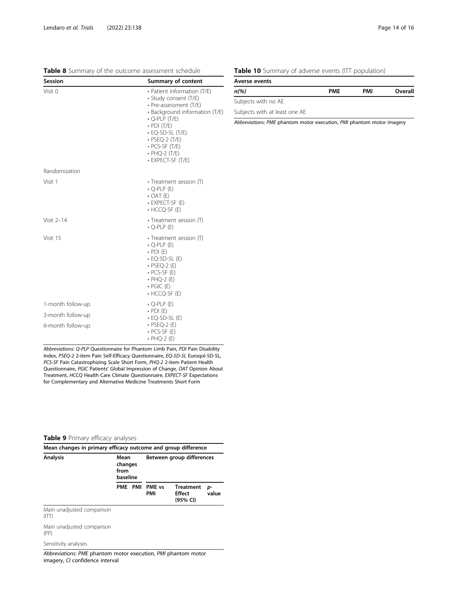| Session                                                     | <b>Summary of content</b>                                                                                                                                                                                                                                                          |
|-------------------------------------------------------------|------------------------------------------------------------------------------------------------------------------------------------------------------------------------------------------------------------------------------------------------------------------------------------|
| Visit 0                                                     | • Patient information (T/E)<br>• Study consent (T/E)<br>• Pre-assessment (T/E)<br>· Background information (T/E)<br>$\cdot$ Q-PLP (T/E)<br>$\cdot$ PDI (T/E)<br>$\cdot$ EQ-5D-5L (T/E)<br>$\cdot$ PSEQ-2 (T/E)<br>$\cdot$ PCS-SF (T/E)<br>$\cdot$ PHQ-2 (T/E)<br>• EXPECT-SF (T/E) |
| Randomization                                               |                                                                                                                                                                                                                                                                                    |
| Visit 1                                                     | • Treatment session (T)<br>$\cdot$ Q-PLP (E)<br>$\cdot$ OAT (E)<br>• EXPECT-SF (E)<br>$\cdot$ HCCQ-SF (E)                                                                                                                                                                          |
| Visit $2-14$                                                | • Treatment session (T)<br>$\cdot$ Q-PLP (E)                                                                                                                                                                                                                                       |
| Visit 15                                                    | • Treatment session (T)<br>$\cdot$ O-PLP (E)<br>$\cdot$ PDI (E)<br>$\cdot$ EQ-5D-5L (E)<br>$\cdot$ PSEQ-2 (E)<br>$\cdot$ PCS-SF (E)<br>$\cdot$ PHQ-2 (E)<br>$\cdot$ PGIC (E)<br>$\cdot$ HCCQ-SF (E)                                                                                |
| 1-month follow-up<br>3-month follow-up<br>6-month follow-up | $\cdot$ Q-PLP (E)<br>$\cdot$ PDI (E)<br>$\cdot$ EQ-5D-5L (E)<br>$\cdot$ PSEQ-2 (E)<br>$\cdot$ PCS-SF (E)<br>$\cdot$ PHQ-2 (E)                                                                                                                                                      |

Abbreviations: Q-PLP Questionnaire for Phantom Limb Pain, PDI Pain Disability Index, PSEQ-2 2-item Pain Self-Efficacy Questionnaire, EQ-5D-5L Euroqol-5D-5L, PCS-SF Pain Catastrophizing Scale Short Form, PHQ-2 2-item Patient Health Questionnaire, PGIC Patients' Global Impression of Change, OAT Opinion About Treatment, HCCQ Health Care Climate Questionnaire, EXPECT-SF Expectations for Complementary and Alternative Medicine Treatments Short Form

## Table 9 Primary efficacy analyses

| Mean changes in primary efficacy outcome and group difference |                                     |  |                           |                                               |             |
|---------------------------------------------------------------|-------------------------------------|--|---------------------------|-----------------------------------------------|-------------|
| <b>Analysis</b>                                               | Mean<br>changes<br>from<br>baseline |  | Between group differences |                                               |             |
|                                                               | PME PMI                             |  | PME vs<br>PMI             | <b>Treatment</b><br><b>Fffect</b><br>(95% CI) | p-<br>value |
| Main unadjusted comparison<br>(TT)                            |                                     |  |                           |                                               |             |
| Main unadjusted comparison<br>(PP)                            |                                     |  |                           |                                               |             |
| Sensitivity analyses                                          |                                     |  |                           |                                               |             |

Abbreviations: PME phantom motor execution, PMI phantom motor imagery, CI confidence interval

# Table 10 Summary of adverse events (ITT population)

| Averse events                 |            |     |         |  |
|-------------------------------|------------|-----|---------|--|
| $n$ (%)                       | <b>PME</b> | PMI | Overall |  |
| Subjects with no AE           |            |     |         |  |
| Subjects with at least one AE |            |     |         |  |

Abbreviations: PME phantom motor execution, PMI phantom motor imagery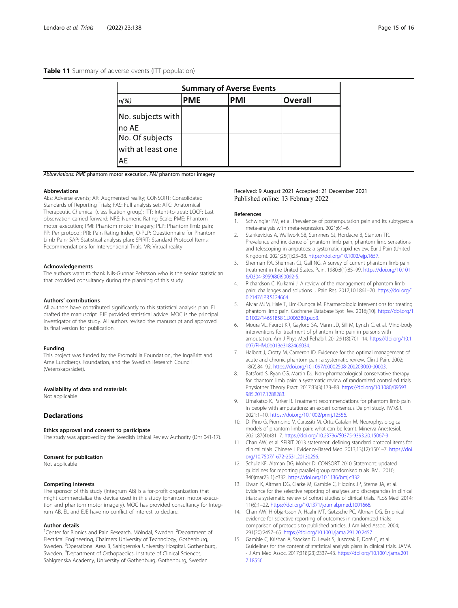#### <span id="page-14-0"></span>Table 11 Summary of adverse events (ITT population)

| <b>Summary of Averse Events</b> |            |            |                |
|---------------------------------|------------|------------|----------------|
| $n(\%)$                         | <b>PME</b> | <b>PMI</b> | <b>Overall</b> |
| No. subjects with<br>Ino AE     |            |            |                |
| No. Of subjects                 |            |            |                |
| with at least one               |            |            |                |
| AE                              |            |            |                |

Abbreviations: PME phantom motor execution, PMI phantom motor imagery

#### **Abbreviations**

AEs: Adverse events; AR: Augmented reality; CONSORT: Consolidated Standards of Reporting Trials; FAS: Full analysis set; ATC: Anatomical Therapeutic Chemical (classification group); ITT: Intent-to-treat; LOCF: Last observation carried forward; NRS: Numeric Rating Scale; PME: Phantom motor execution; PMI: Phantom motor imagery; PLP: Phantom limb pain; PP: Per protocol; PRI: Pain Rating Index; Q-PLP: Questionnaire for Phantom Limb Pain; SAP: Statistical analysis plan; SPIRIT: Standard Protocol Items: Recommendations for Interventional Trials; VR: Virtual reality

#### Acknowledgements

The authors want to thank Nils-Gunnar Pehrsson who is the senior statistician that provided consultancy during the planning of this study.

#### Authors' contributions

All authors have contributed significantly to this statistical analysis plan. EL drafted the manuscript. EJE provided statistical advice. MOC is the principal investigator of the study. All authors revised the manuscript and approved its final version for publication.

#### Funding

This project was funded by the Promobilia Foundation, the IngaBritt and Arne Lundbergs Foundation, and the Swedish Research Council (Vetenskapsrådet).

#### Availability of data and materials

Not applicable

#### **Declarations**

#### Ethics approval and consent to participate

The study was approved by the Swedish Ethical Review Authority (Dnr 041-17).

#### Consent for publication

Not applicable

#### Competing interests

The sponsor of this study (Integrum AB) is a for-profit organization that might commercialize the device used in this study (phantom motor execution and phantom motor imagery). MOC has provided consultancy for Integrum AB. EL and EJE have no conflict of interest to declare.

#### Author details

<sup>1</sup>Center for Bionics and Pain Research, Mölndal, Sweden. <sup>2</sup>Department of Electrical Engineering, Chalmers University of Technology, Gothenburg, Sweden. <sup>3</sup>Operational Area 3, Sahlgrenska University Hospital, Gothenburg, Sweden. <sup>4</sup>Department of Orthopaedics, Institute of Clinical Sciences, Sahlgrenska Academy, University of Gothenburg, Gothenburg, Sweden.

#### Received: 9 August 2021 Accepted: 21 December 2021 Published online: 13 February 2022

#### References

- 1. Schwingler PM, et al. Prevalence of postamputation pain and its subtypes: a meta-analysis with meta-regression. 2021;6:1–6.
- Stankevicius A, Wallwork SB, Summers SJ, Hordacre B, Stanton TR. Prevalence and incidence of phantom limb pain, phantom limb sensations and telescoping in amputees: a systematic rapid review. Eur J Pain (United Kingdom). 2021;25(1):23–38. <https://doi.org/10.1002/ejp.1657>.
- 3. Sherman RA, Sherman CJ, Gall NG. A survey of current phantom limb pain treatment in the United States. Pain. 1980;8(1):85–99. [https://doi.org/10.101](https://doi.org/10.1016/0304-3959(80)90092-5) [6/0304-3959\(80\)90092-5](https://doi.org/10.1016/0304-3959(80)90092-5).
- 4. Richardson C, Kulkarni J. A review of the management of phantom limb pain: challenges and solutions. J Pain Res. 2017;10:1861–70. [https://doi.org/1](https://doi.org/10.2147/JPR.S124664) [0.2147/JPR.S124664.](https://doi.org/10.2147/JPR.S124664)
- 5. Alviar MJM, Hale T, Lim-Dungca M. Pharmacologic interventions for treating phantom limb pain. Cochrane Database Syst Rev. 2016;(10). [https://doi.org/1](https://doi.org/10.1002/14651858.CD006380.pub3) [0.1002/14651858.CD006380.pub3](https://doi.org/10.1002/14651858.CD006380.pub3).
- 6. Moura VL, Faurot KR, Gaylord SA, Mann JD, Sill M, Lynch C, et al. Mind-body interventions for treatment of phantom limb pain in persons with amputation. Am J Phys Med Rehabil. 2012;91(8):701–14. [https://doi.org/10.1](https://doi.org/10.1097/PHM.0b013e3182466034) [097/PHM.0b013e3182466034](https://doi.org/10.1097/PHM.0b013e3182466034).
- Halbert J, Crotty M, Cameron ID. Evidence for the optimal management of acute and chronic phantom pain: a systematic review. Clin J Pain. 2002; 18(2):84–92. [https://doi.org/10.1097/00002508-200203000-00003.](https://doi.org/10.1097/00002508-200203000-00003)
- 8. Batsford S, Ryan CG, Martin DJ. Non-pharmacological conservative therapy for phantom limb pain: a systematic review of randomized controlled trials. Physiother Theory Pract. 2017;33(3):173–83. [https://doi.org/10.1080/09593](https://doi.org/10.1080/09593985.2017.1288283) [985.2017.1288283.](https://doi.org/10.1080/09593985.2017.1288283)
- Limakatso K, Parker R. Treatment recommendations for phantom limb pain in people with amputations: an expert consensus Delphi study. PM\&R. 2021:1–10. <https://doi.org/10.1002/pmrj.12556>.
- 10. Di Pino G, Piombino V, Carassiti M, Ortiz-Catalan M. Neurophysiological models of phantom limb pain: what can be learnt. Minerva Anestesiol. 2021;87(4):481–7. <https://doi.org/10.23736/S0375-9393.20.15067-3>.
- 11. Chan AW, et al. SPIRIT 2013 statement: defining standard protocol items for clinical trials. Chinese J Evidence-Based Med. 2013;13(12):1501–7. [https://doi.](https://doi.org/10.7507/1672-2531.20130256) [org/10.7507/1672-2531.20130256.](https://doi.org/10.7507/1672-2531.20130256)
- 12. Schulz KF, Altman DG, Moher D. CONSORT 2010 Statement: updated guidelines for reporting parallel group randomised trials. BMJ. 2010; 340(mar23 1):c332. [https://doi.org/10.1136/bmj.c332.](https://doi.org/10.1136/bmj.c332)
- 13. Dwan K, Altman DG, Clarke M, Gamble C, Higgins JP, Sterne JA, et al. Evidence for the selective reporting of analyses and discrepancies in clinical trials: a systematic review of cohort studies of clinical trials. PLoS Med. 2014; 11(6):1–22. [https://doi.org/10.1371/journal.pmed.1001666.](https://doi.org/10.1371/journal.pmed.1001666)
- 14. Chan AW, Hróbjartsson A, Haahr MT, Gøtzsche PC, Altman DG. Empirical evidence for selective reporting of outcomes in randomized trials: comparison of protocols to published articles. J Am Med Assoc. 2004; 291(20):2457–65. <https://doi.org/10.1001/jama.291.20.2457>.
- 15. Gamble C, Krishan A, Stocken D, Lewis S, Juszczak E, Doré C, et al. Guidelines for the content of statistical analysis plans in clinical trials. JAMA - J Am Med Assoc. 2017;318(23):2337–43. [https://doi.org/10.1001/jama.201](https://doi.org/10.1001/jama.2017.18556) [7.18556](https://doi.org/10.1001/jama.2017.18556).